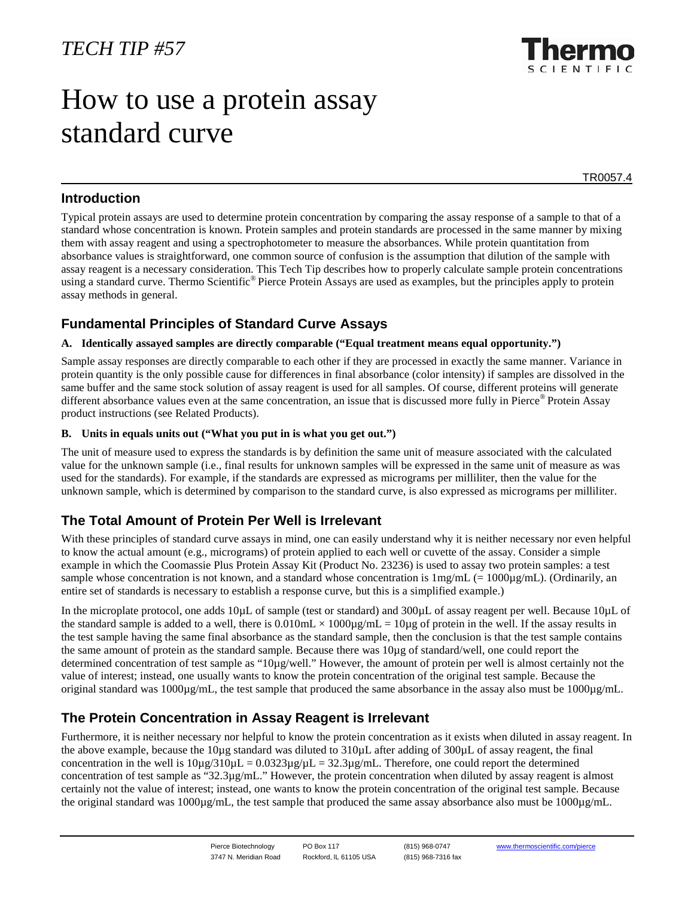# How to use a protein assay standard curve

TR0057.4

## **Introduction**

Typical protein assays are used to determine protein concentration by comparing the assay response of a sample to that of a standard whose concentration is known. Protein samples and protein standards are processed in the same manner by mixing them with assay reagent and using a spectrophotometer to measure the absorbances. While protein quantitation from absorbance values is straightforward, one common source of confusion is the assumption that dilution of the sample with assay reagent is a necessary consideration. This Tech Tip describes how to properly calculate sample protein concentrations using a standard curve. Thermo Scientific<sup>®</sup> Pierce Protein Assays are used as examples, but the principles apply to protein assay methods in general.

# **Fundamental Principles of Standard Curve Assays**

#### **A. Identically assayed samples are directly comparable ("Equal treatment means equal opportunity.")**

Sample assay responses are directly comparable to each other if they are processed in exactly the same manner. Variance in protein quantity is the only possible cause for differences in final absorbance (color intensity) if samples are dissolved in the same buffer and the same stock solution of assay reagent is used for all samples. Of course, different proteins will generate different absorbance values even at the same concentration, an issue that is discussed more fully in Pierce® Protein Assay product instructions (see Related Products).

#### **B. Units in equals units out ("What you put in is what you get out.")**

The unit of measure used to express the standards is by definition the same unit of measure associated with the calculated value for the unknown sample (i.e., final results for unknown samples will be expressed in the same unit of measure as was used for the standards). For example, if the standards are expressed as micrograms per milliliter, then the value for the unknown sample, which is determined by comparison to the standard curve, is also expressed as micrograms per milliliter.

# **The Total Amount of Protein Per Well is Irrelevant**

With these principles of standard curve assays in mind, one can easily understand why it is neither necessary nor even helpful to know the actual amount (e.g., micrograms) of protein applied to each well or cuvette of the assay. Consider a simple example in which the Coomassie Plus Protein Assay Kit (Product No. 23236) is used to assay two protein samples: a test sample whose concentration is not known, and a standard whose concentration is  $1 \text{mg/mL}$  (= 1000 $\text{µg/mL}$ ). (Ordinarily, an entire set of standards is necessary to establish a response curve, but this is a simplified example.)

In the microplate protocol, one adds 10µL of sample (test or standard) and 300µL of assay reagent per well. Because 10µL of the standard sample is added to a well, there is  $0.010 \text{mL} \times 1000 \mu/\text{mL} = 10 \mu/\text{g}$  of protein in the well. If the assay results in the test sample having the same final absorbance as the standard sample, then the conclusion is that the test sample contains the same amount of protein as the standard sample. Because there was 10µg of standard/well, one could report the determined concentration of test sample as "10µg/well." However, the amount of protein per well is almost certainly not the value of interest; instead, one usually wants to know the protein concentration of the original test sample. Because the original standard was  $1000\mu\text{g/mL}$ , the test sample that produced the same absorbance in the assay also must be  $1000\mu\text{g/mL}$ .

# **The Protein Concentration in Assay Reagent is Irrelevant**

Furthermore, it is neither necessary nor helpful to know the protein concentration as it exists when diluted in assay reagent. In the above example, because the 10µg standard was diluted to 310µL after adding of 300µL of assay reagent, the final concentration in the well is  $10\mu g/310\mu L = 0.0323\mu g/\mu L = 32.3\mu g/mL$ . Therefore, one could report the determined concentration of test sample as "32.3µg/mL." However, the protein concentration when diluted by assay reagent is almost certainly not the value of interest; instead, one wants to know the protein concentration of the original test sample. Because the original standard was 1000 $\mu$ g/mL, the test sample that produced the same assay absorbance also must be 1000 $\mu$ g/mL.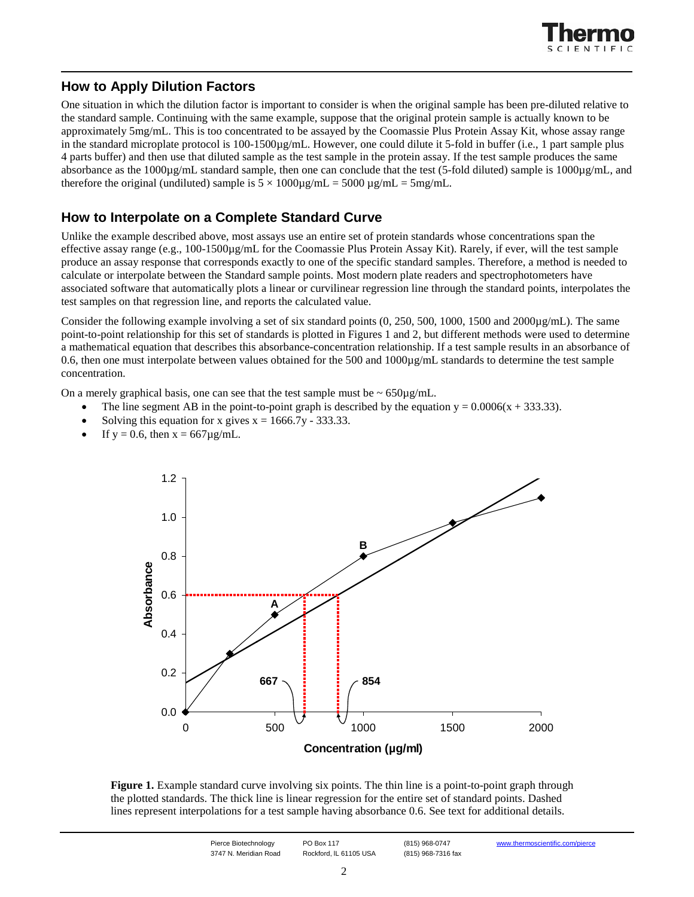

## **How to Apply Dilution Factors**

One situation in which the dilution factor is important to consider is when the original sample has been pre-diluted relative to the standard sample. Continuing with the same example, suppose that the original protein sample is actually known to be approximately 5mg/mL. This is too concentrated to be assayed by the Coomassie Plus Protein Assay Kit, whose assay range in the standard microplate protocol is 100-1500µg/mL. However, one could dilute it 5-fold in buffer (i.e., 1 part sample plus 4 parts buffer) and then use that diluted sample as the test sample in the protein assay. If the test sample produces the same absorbance as the 1000µg/mL standard sample, then one can conclude that the test (5-fold diluted) sample is 1000µg/mL, and therefore the original (undiluted) sample is  $5 \times 1000 \mu\text{g/mL} = 5000 \mu\text{g/mL} = 5 \text{mg/mL}$ .

### **How to Interpolate on a Complete Standard Curve**

Unlike the example described above, most assays use an entire set of protein standards whose concentrations span the effective assay range (e.g., 100-1500µg/mL for the Coomassie Plus Protein Assay Kit). Rarely, if ever, will the test sample produce an assay response that corresponds exactly to one of the specific standard samples. Therefore, a method is needed to calculate or interpolate between the Standard sample points. Most modern plate readers and spectrophotometers have associated software that automatically plots a linear or curvilinear regression line through the standard points, interpolates the test samples on that regression line, and reports the calculated value.

Consider the following example involving a set of six standard points  $(0, 250, 500, 1000, 1500, 1000, 1000, 1500)$ . The same point-to-point relationship for this set of standards is plotted in Figures 1 and 2, but different methods were used to determine a mathematical equation that describes this absorbance-concentration relationship. If a test sample results in an absorbance of 0.6, then one must interpolate between values obtained for the 500 and  $1000\mu g/mL$  standards to determine the test sample concentration.

On a merely graphical basis, one can see that the test sample must be  $\sim 650 \mu g/mL$ .

- The line segment AB in the point-to-point graph is described by the equation  $y = 0.0006(x + 333.33)$ .
- Solving this equation for x gives  $x = 1666.7y 333.33$ .
- If  $y = 0.6$ , then  $x = 667 \mu g/mL$ .



**Figure 1.** Example standard curve involving six points. The thin line is a point-to-point graph through the plotted standards. The thick line is linear regression for the entire set of standard points. Dashed lines represent interpolations for a test sample having absorbance 0.6. See text for additional details.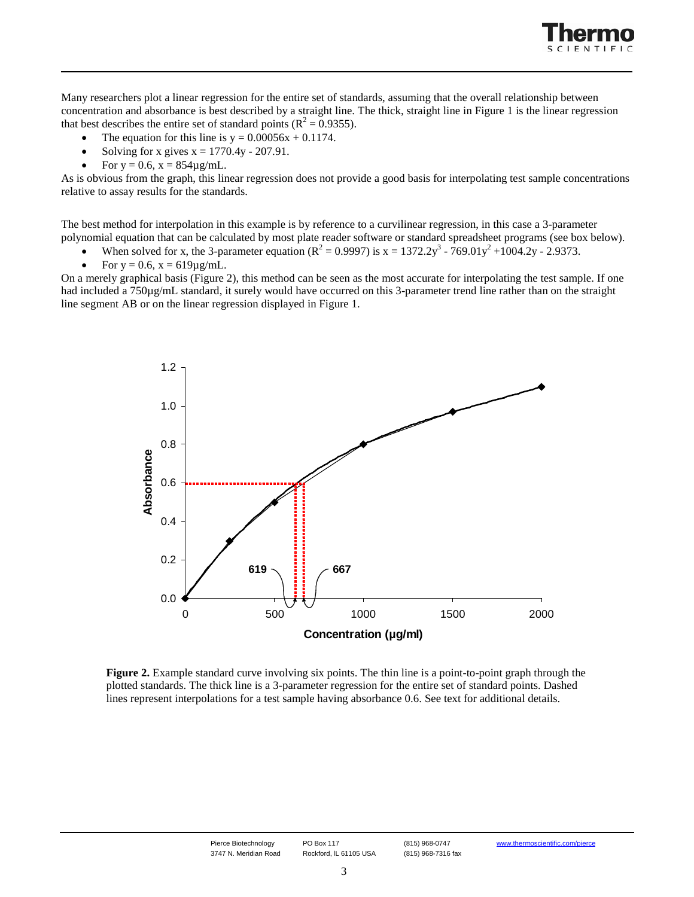

Many researchers plot a linear regression for the entire set of standards, assuming that the overall relationship between concentration and absorbance is best described by a straight line. The thick, straight line in Figure 1 is the linear regression that best describes the entire set of standard points ( $\mathbb{R}^2 = 0.9355$ ).

- The equation for this line is  $y = 0.00056x + 0.1174$ .
- Solving for x gives  $x = 1770.4y 207.91$ .
- For  $y = 0.6$ ,  $x = 854\mu g/mL$ .

As is obvious from the graph, this linear regression does not provide a good basis for interpolating test sample concentrations relative to assay results for the standards.

The best method for interpolation in this example is by reference to a curvilinear regression, in this case a 3-parameter polynomial equation that can be calculated by most plate reader software or standard spreadsheet programs (see box below).

- When solved for x, the 3-parameter equation ( $R^2 = 0.9997$ ) is  $x = 1372.2y^3 769.01y^2 + 1004.2y 2.9373$ .
- For  $y = 0.6$ ,  $x = 619 \mu g/mL$ .

On a merely graphical basis (Figure 2), this method can be seen as the most accurate for interpolating the test sample. If one had included a 750µg/mL standard, it surely would have occurred on this 3-parameter trend line rather than on the straight line segment AB or on the linear regression displayed in Figure 1.



**Figure 2.** Example standard curve involving six points. The thin line is a point-to-point graph through the plotted standards. The thick line is a 3-parameter regression for the entire set of standard points. Dashed lines represent interpolations for a test sample having absorbance 0.6. See text for additional details.